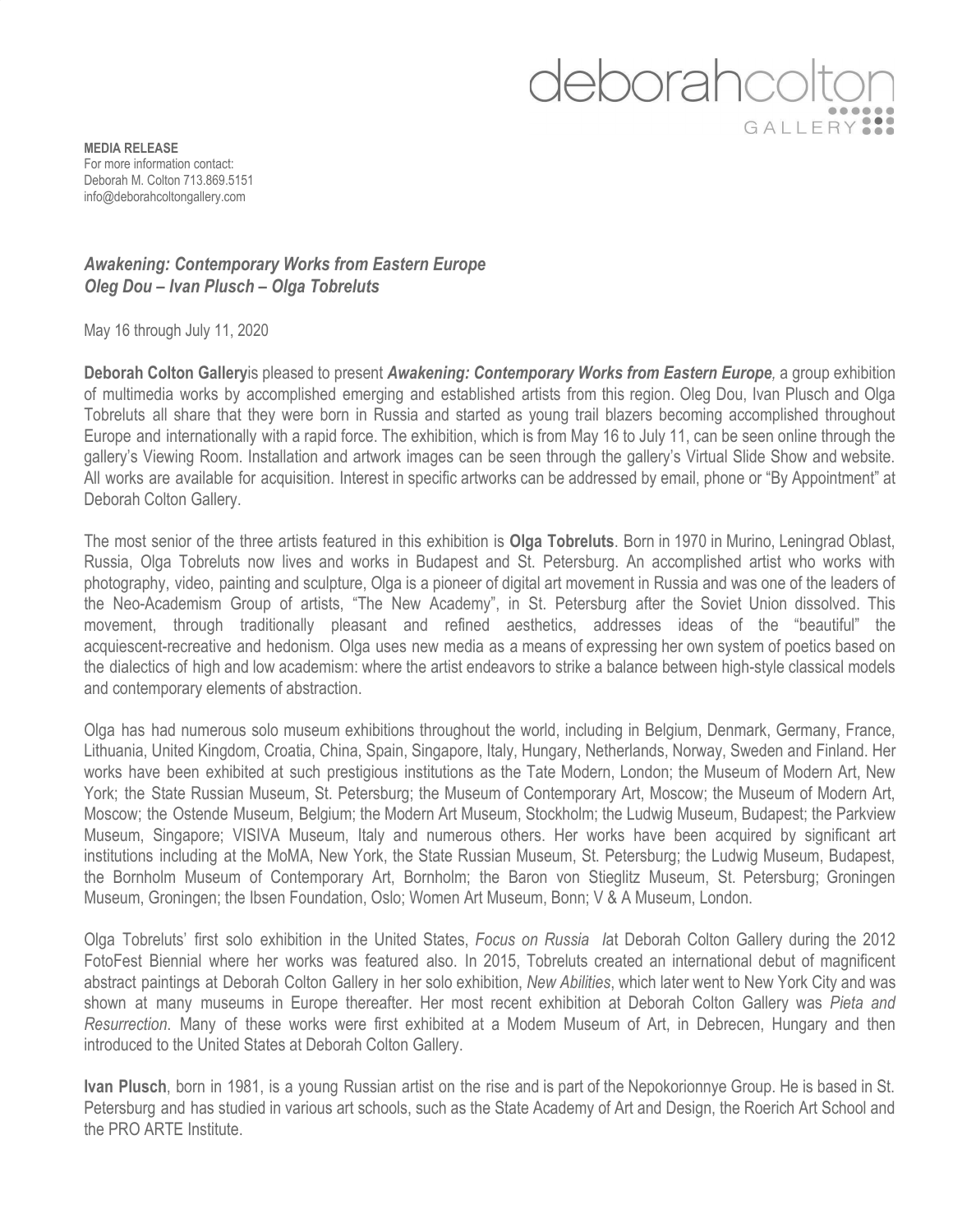## deborahco GALLERY

**MEDIA RELEASE** For more information contact: Deborah M. Colton 713.869.5151 [info@deborahcoltongallery.com](mailto:info@deborahcoltongallery.com)

## *Awakening: Contemporary Works from Eastern Europe Oleg Dou – Ivan Plusch – Olga Tobreluts*

May 16 through July 11, 2020

**Deborah Colton Gallery**is pleased to present *Awakening: Contemporary Works from Eastern Europe,* a group exhibition of multimedia works by accomplished emerging and established artists from this region. Oleg Dou, Ivan Plusch and Olga Tobreluts all share that they were born in Russia and started as young trail blazers becoming accomplished throughout Europe and internationally with a rapid force. The exhibition, which is from May 16 to July 11, can be seen online through the gallery's Viewing Room. Installation and artwork images can be seen through the gallery's Virtual Slide Show and website. All works are available for acquisition. Interest in specific artworks can be addressed by email, phone or "By Appointment" at Deborah Colton Gallery.

The most senior of the three artists featured in this exhibition is **Olga Tobreluts**. Born in 1970 in Murino, Leningrad Oblast, Russia, Olga Tobreluts now lives and works in Budapest and St. Petersburg. An accomplished artist who works with photography, video, painting and sculpture, Olga is a pioneer of digital art movement in Russia and was one of the leaders of the Neo-Academism Group of artists, "The New Academy", in St. Petersburg after the Soviet Union dissolved. This movement, through traditionally pleasant and refined aesthetics, addresses ideas of the "beautiful" the acquiescent-recreative and hedonism. Olga uses new media as a means of expressing her own system of poetics based on the dialectics of high and low academism: where the artist endeavors to strike a balance between high-style classical models and contemporary elements of abstraction.

Olga has had numerous solo museum exhibitions throughout the world, including in Belgium, Denmark, Germany, France, Lithuania, United Kingdom, Croatia, China, Spain, Singapore, Italy, Hungary, Netherlands, Norway, Sweden and Finland. Her works have been exhibited at such prestigious institutions as the Tate Modern, London; the Museum of Modern Art, New York; the State Russian Museum, St. Petersburg; the Museum of Contemporary Art, Moscow; the Museum of Modern Art, Moscow; the Ostende Museum, Belgium; the Modern Art Museum, Stockholm; the Ludwig Museum, Budapest; the Parkview Museum, Singapore; VISIVA Museum, Italy and numerous others. Her works have been acquired by significant art institutions including at the MoMA, New York, the State Russian Museum, St. Petersburg; the Ludwig Museum, Budapest, the Bornholm Museum of Contemporary Art, Bornholm; the Baron von Stieglitz Museum, St. Petersburg; Groningen Museum, Groningen; the Ibsen Foundation, Oslo; Women Art Museum, Bonn; V & A Museum, London.

Olga Tobreluts' first solo exhibition in the United States, *Focus on Russia I*at Deborah Colton Gallery during the 2012 FotoFest Biennial where her works was featured also. In 2015, Tobreluts created an international debut of magnificent abstract paintings at Deborah Colton Gallery in her solo exhibition, *New Abilities*, which later went to New York City and was shown at many museums in Europe thereafter. Her most recent exhibition at Deborah Colton Gallery was *Pieta and Resurrection*. Many of these works were first exhibited at a Modem Museum of Art, in Debrecen, Hungary and then introduced to the United States at Deborah Colton Gallery.

**Ivan Plusch**, born in 1981, is a young Russian artist on the rise and is part of the Nepokorionnye Group. He is based in St. Petersburg and has studied in various art schools, such as the State Academy of Art and Design, the Roerich Art School and the PRO ARTE Institute.